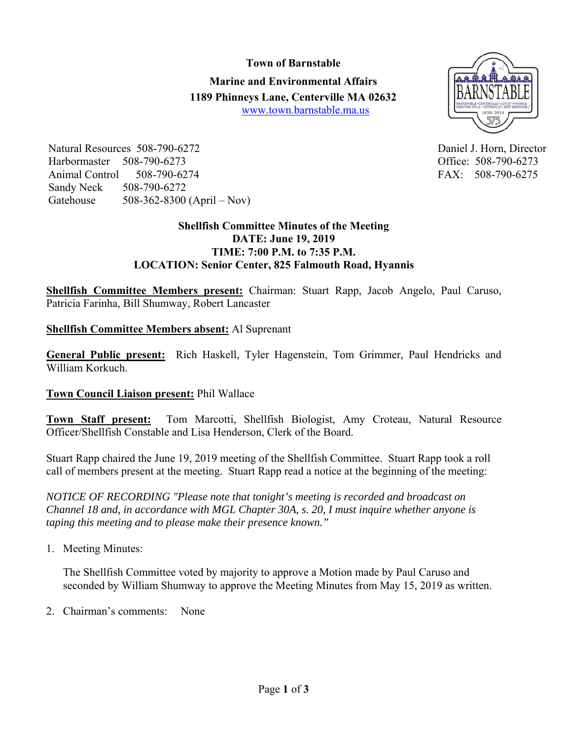### **Town of Barnstable**

**Marine and Environmental Affairs 1189 Phinneys Lane, Centerville MA 02632** www.town.barnstable.ma.us



Natural Resources 508-790-6272 Daniel J. Horn, Director Harbormaster 508-790-6273 Office: 508-790-6273 Animal Control 508-790-6274 FAX: 508-790-6275 Sandy Neck 508-790-6272 Gatehouse 508-362-8300 (April – Nov)

# **Shellfish Committee Minutes of the Meeting DATE: June 19, 2019 TIME: 7:00 P.M. to 7:35 P.M. LOCATION: Senior Center, 825 Falmouth Road, Hyannis**

**Shellfish Committee Members present:** Chairman: Stuart Rapp, Jacob Angelo, Paul Caruso, Patricia Farinha, Bill Shumway, Robert Lancaster

**Shellfish Committee Members absent:** Al Suprenant

**General Public present:** Rich Haskell, Tyler Hagenstein, Tom Grimmer, Paul Hendricks and William Korkuch.

# **Town Council Liaison present:** Phil Wallace

**Town Staff present:** Tom Marcotti, Shellfish Biologist, Amy Croteau, Natural Resource Officer/Shellfish Constable and Lisa Henderson, Clerk of the Board.

Stuart Rapp chaired the June 19, 2019 meeting of the Shellfish Committee. Stuart Rapp took a roll call of members present at the meeting. Stuart Rapp read a notice at the beginning of the meeting:

*NOTICE OF RECORDING "Please note that tonight's meeting is recorded and broadcast on Channel 18 and, in accordance with MGL Chapter 30A, s. 20, I must inquire whether anyone is taping this meeting and to please make their presence known."* 

1. Meeting Minutes:

The Shellfish Committee voted by majority to approve a Motion made by Paul Caruso and seconded by William Shumway to approve the Meeting Minutes from May 15, 2019 as written.

2. Chairman's comments: None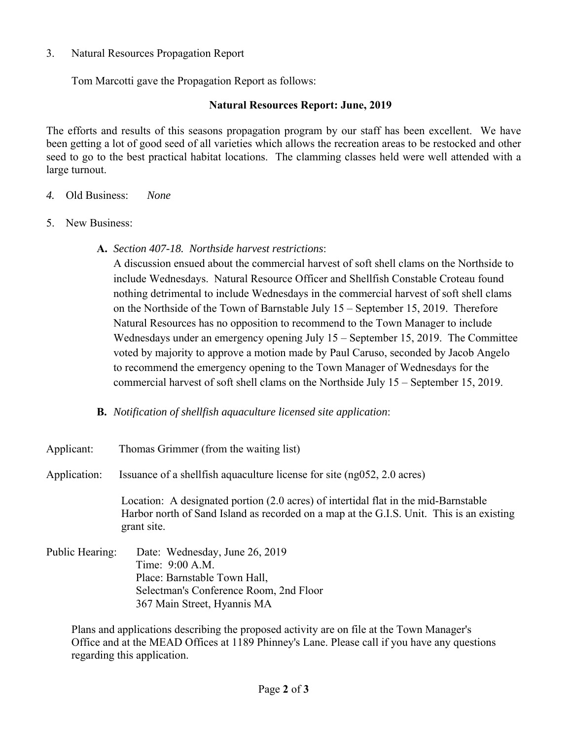### 3. Natural Resources Propagation Report

Tom Marcotti gave the Propagation Report as follows:

# **Natural Resources Report: June, 2019**

The efforts and results of this seasons propagation program by our staff has been excellent. We have been getting a lot of good seed of all varieties which allows the recreation areas to be restocked and other seed to go to the best practical habitat locations. The clamming classes held were well attended with a large turnout.

- *4.* Old Business: *None*
- 5. New Business:
	- **A.** *Section 407-18. Northside harvest restrictions*:

A discussion ensued about the commercial harvest of soft shell clams on the Northside to include Wednesdays. Natural Resource Officer and Shellfish Constable Croteau found nothing detrimental to include Wednesdays in the commercial harvest of soft shell clams on the Northside of the Town of Barnstable July 15 – September 15, 2019. Therefore Natural Resources has no opposition to recommend to the Town Manager to include Wednesdays under an emergency opening July 15 – September 15, 2019. The Committee voted by majority to approve a motion made by Paul Caruso, seconded by Jacob Angelo to recommend the emergency opening to the Town Manager of Wednesdays for the commercial harvest of soft shell clams on the Northside July 15 – September 15, 2019.

**B.** *Notification of shellfish aquaculture licensed site application*:

| Applicant: | Thomas Grimmer (from the waiting list) |  |  |
|------------|----------------------------------------|--|--|
|            |                                        |  |  |

Application: Issuance of a shellfish aquaculture license for site (ng052, 2.0 acres)

Location: A designated portion (2.0 acres) of intertidal flat in the mid-Barnstable Harbor north of Sand Island as recorded on a map at the G.I.S. Unit. This is an existing grant site.

Public Hearing: Date: Wednesday, June 26, 2019 Time: 9:00 A.M. Place: Barnstable Town Hall, Selectman's Conference Room, 2nd Floor 367 Main Street, Hyannis MA

Plans and applications describing the proposed activity are on file at the Town Manager's Office and at the MEAD Offices at 1189 Phinney's Lane. Please call if you have any questions regarding this application.